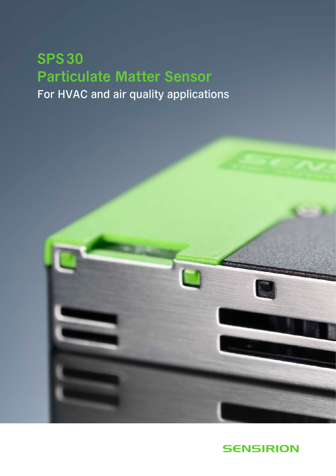## SPS30 Particulate Matter Sensor For HVAC and air quality applications